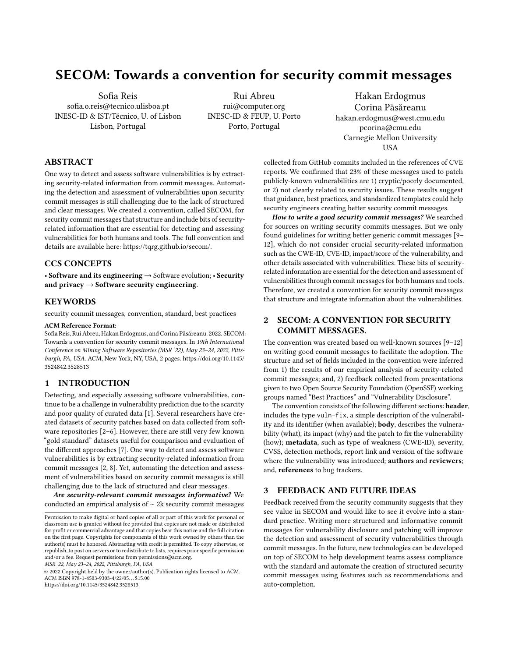# SECOM: Towards a convention for security commit messages

Sofia Reis sofia.o.reis@tecnico.ulisboa.pt INESC-ID & IST/Técnico, U. of Lisbon Lisbon, Portugal

Rui Abreu rui@computer.org INESC-ID & FEUP, U. Porto Porto, Portugal

Hakan Erdogmus Corina Păsăreanu hakan.erdogmus@west.cmu.edu pcorina@cmu.edu Carnegie Mellon University **USA** 

# ABSTRACT

One way to detect and assess software vulnerabilities is by extracting security-related information from commit messages. Automating the detection and assessment of vulnerabilities upon security commit messages is still challenging due to the lack of structured and clear messages. We created a convention, called SECOM, for security commit messages that structure and include bits of securityrelated information that are essential for detecting and assessing vulnerabilities for both humans and tools. The full convention and details are available here: [https://tqrg.github.io/secom/.](https://tqrg.github.io/secom/)

## CCS CONCEPTS

• Software and its engineering  $\rightarrow$  Software evolution; • Security and privacy  $\rightarrow$  Software security engineering.

## KEYWORDS

security commit messages, convention, standard, best practices

#### ACM Reference Format:

Sofia Reis, Rui Abreu, Hakan Erdogmus, and Corina Păsăreanu. 2022. SECOM: Towards a convention for security commit messages. In 19th International Conference on Mining Software Repositories (MSR '22), May 23–24, 2022, Pittsburgh, PA, USA. ACM, New York, NY, USA, [2](#page-1-0) pages. [https://doi.org/10.1145/](https://doi.org/10.1145/3524842.3528513) [3524842.3528513](https://doi.org/10.1145/3524842.3528513)

# 1 INTRODUCTION

Detecting, and especially assessing software vulnerabilities, continue to be a challenge in vulnerability prediction due to the scarcity and poor quality of curated data [\[1\]](#page-1-1). Several researchers have created datasets of security patches based on data collected from software repositories [\[2–](#page-1-2)[6\]](#page-1-3). However, there are still very few known "gold standard" datasets useful for comparison and evaluation of the different approaches [\[7\]](#page-1-4). One way to detect and assess software vulnerabilities is by extracting security-related information from commit messages [\[2,](#page-1-2) [8\]](#page-1-5). Yet, automating the detection and assessment of vulnerabilities based on security commit messages is still challenging due to the lack of structured and clear messages.

Are security-relevant commit messages informative? We conducted an empirical analysis of ∼ 2k security commit messages

MSR '22, May 23–24, 2022, Pittsburgh, PA, USA

© 2022 Copyright held by the owner/author(s). Publication rights licensed to ACM. ACM ISBN 978-1-4503-9303-4/22/05. . . \$15.00 <https://doi.org/10.1145/3524842.3528513>

collected from GitHub commits included in the references of CVE reports. We confirmed that 23% of these messages used to patch publicly-known vulnerabilities are 1) cryptic/poorly documented, or 2) not clearly related to security issues. These results suggest that guidance, best practices, and standardized templates could help security engineers creating better security commit messages.

How to write a good security commit messages? We searched for sources on writing security commits messages. But we only found guidelines for writing better generic commit messages [\[9–](#page-1-6) [12\]](#page-1-7), which do not consider crucial security-related information such as the CWE-ID, CVE-ID, impact/score of the vulnerability, and other details associated with vulnerabilities. These bits of securityrelated information are essential for the detection and assessment of vulnerabilities through commit messages for both humans and tools. Therefore, we created a convention for security commit messages that structure and integrate information about the vulnerabilities.

# 2 SECOM: A CONVENTION FOR SECURITY COMMIT MESSAGES.

The convention was created based on well-known sources [\[9–](#page-1-6)[12\]](#page-1-7) on writing good commit messages to facilitate the adoption. The structure and set of fields included in the convention were inferred from 1) the results of our empirical analysis of security-related commit messages; and, 2) feedback collected from presentations given to two Open Source Security Foundation (OpenSSF) working groups named "Best Practices" and "Vulnerability Disclosure".

The convention consists of the following different sections: header, includes the type vuln-fix, a simple description of the vulnerability and its identifier (when available); body, describes the vulnerability (what), its impact (why) and the patch to fix the vulnerability (how); metadata, such as type of weakness (CWE-ID), severity, CVSS, detection methods, report link and version of the software where the vulnerability was introduced; **authors** and **reviewers**; and, references to bug trackers.

## 3 FEEDBACK AND FUTURE IDEAS

Feedback received from the security community suggests that they see value in SECOM and would like to see it evolve into a standard practice. Writing more structured and informative commit messages for vulnerability disclosure and patching will improve the detection and assessment of security vulnerabilities through commit messages. In the future, new technologies can be developed on top of SECOM to help development teams assess compliance with the standard and automate the creation of structured security commit messages using features such as recommendations and auto-completion.

Permission to make digital or hard copies of all or part of this work for personal or classroom use is granted without fee provided that copies are not made or distributed for profit or commercial advantage and that copies bear this notice and the full citation on the first page. Copyrights for components of this work owned by others than the author(s) must be honored. Abstracting with credit is permitted. To copy otherwise, or republish, to post on servers or to redistribute to lists, requires prior specific permission and/or a fee. Request permissions from permissions@acm.org.